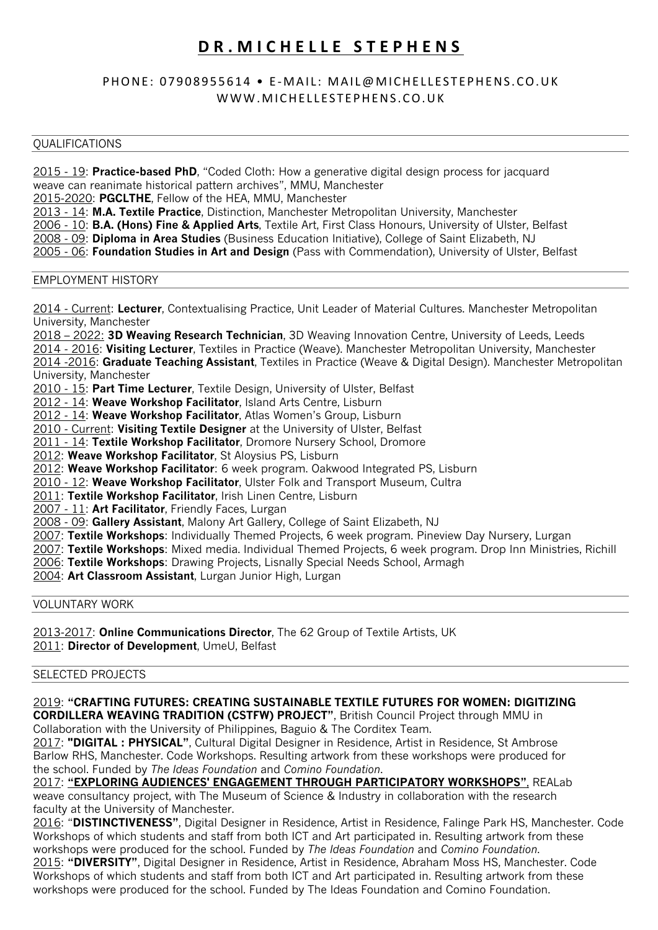# **DR. MICHELLE STEPHENS**

# PHONE: 07908955614 • E-MAIL: MAIL@MICHELLESTEPHENS.CO.UK WWW.MICHELLESTEPHENS.CO.UK

# **OUALIFICATIONS**

2015 - 19: **Practice-based PhD**, "Coded Cloth: How a generative digital design process for jacquard weave can reanimate historical pattern archives", MMU, Manchester 2015-2020: **PGCLTHE**, Fellow of the HEA, MMU, Manchester 2013 - 14: **M.A. Textile Practice**, Distinction, Manchester Metropolitan University, Manchester 2006 - 10: **B.A. (Hons) Fine & Applied Arts**, Textile Art, First Class Honours, University of Ulster, Belfast 2008 - 09: **Diploma in Area Studies** (Business Education Initiative), College of Saint Elizabeth, NJ

2005 - 06: **Foundation Studies in Art and Design** (Pass with Commendation), University of Ulster, Belfast

# EMPLOYMENT HISTORY

2014 - Current: **Lecturer**, Contextualising Practice, Unit Leader of Material Cultures. Manchester Metropolitan University, Manchester

2018 – 2022: **3D Weaving Research Technician**, 3D Weaving Innovation Centre, University of Leeds, Leeds 2014 - 2016: **Visiting Lecturer**, Textiles in Practice (Weave). Manchester Metropolitan University, Manchester 2014 -2016: **Graduate Teaching Assistant**, Textiles in Practice (Weave & Digital Design). Manchester Metropolitan University, Manchester

2010 - 15: **Part Time Lecturer**, Textile Design, University of Ulster, Belfast

2012 - 14: **Weave Workshop Facilitator**, Island Arts Centre, Lisburn

2012 - 14: **Weave Workshop Facilitator**, Atlas Women's Group, Lisburn

2010 - Current: **Visiting Textile Designer** at the University of Ulster, Belfast

2011 - 14: **Textile Workshop Facilitator**, Dromore Nursery School, Dromore

2012: **Weave Workshop Facilitator**, St Aloysius PS, Lisburn

2012: **Weave Workshop Facilitator**: 6 week program. Oakwood Integrated PS, Lisburn

2010 - 12: **Weave Workshop Facilitator**, Ulster Folk and Transport Museum, Cultra

2011: **Textile Workshop Facilitator**, Irish Linen Centre, Lisburn

2007 - 11: **Art Facilitator**, Friendly Faces, Lurgan

2008 - 09: **Gallery Assistant**, Malony Art Gallery, College of Saint Elizabeth, NJ

2007: **Textile Workshops**: Individually Themed Projects, 6 week program. Pineview Day Nursery, Lurgan

2007: **Textile Workshops**: Mixed media. Individual Themed Projects, 6 week program. Drop Inn Ministries, Richill

2006: **Textile Workshops**: Drawing Projects, Lisnally Special Needs School, Armagh

2004: **Art Classroom Assistant**, Lurgan Junior High, Lurgan

VOLUNTARY WORK

2013-2017: **Online Communications Director**, The 62 Group of Textile Artists, UK 2011: **Director of Development**, UmeU, Belfast

# SELECTED PROJECTS

2019: **"CRAFTING FUTURES: CREATING SUSTAINABLE TEXTILE FUTURES FOR WOMEN: DIGITIZING CORDILLERA WEAVING TRADITION (CSTFW) PROJECT"**, British Council Project through MMU in

Collaboration with the University of Philippines, Baguio & The Corditex Team. 2017: **"DIGITAL : PHYSICAL"**, Cultural Digital Designer in Residence, Artist in Residence, St Ambrose Barlow RHS, Manchester. Code Workshops. Resulting artwork from these workshops were produced for the school. Funded by *The Ideas Foundation* and *Comino Foundation*.

2017: **"EXPLORING AUDIENCES' ENGAGEMENT THROUGH PARTICIPATORY WORKSHOPS"**, REALab weave consultancy project, with The Museum of Science & Industry in collaboration with the research faculty at the University of Manchester.

2016: "**DISTINCTIVENESS"**, Digital Designer in Residence, Artist in Residence, Falinge Park HS, Manchester. Code Workshops of which students and staff from both ICT and Art participated in. Resulting artwork from these workshops were produced for the school. Funded by *The Ideas Foundation* and *Comino Foundation*. 2015: **"DIVERSITY"**, Digital Designer in Residence, Artist in Residence, Abraham Moss HS, Manchester. Code Workshops of which students and staff from both ICT and Art participated in. Resulting artwork from these workshops were produced for the school. Funded by The Ideas Foundation and Comino Foundation.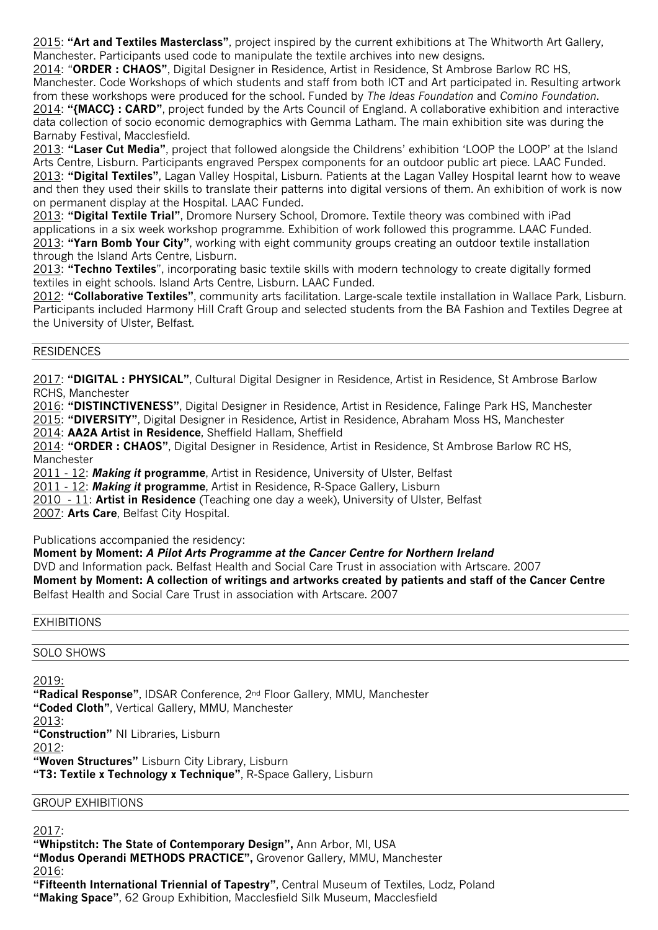2015: **"Art and Textiles Masterclass"**, project inspired by the current exhibitions at The Whitworth Art Gallery, Manchester. Participants used code to manipulate the textile archives into new designs.

2014: "**ORDER : CHAOS"**, Digital Designer in Residence, Artist in Residence, St Ambrose Barlow RC HS, Manchester. Code Workshops of which students and staff from both ICT and Art participated in. Resulting artwork from these workshops were produced for the school. Funded by *The Ideas Foundation* and *Comino Foundation*. 2014: **"{MACC} : CARD"**, project funded by the Arts Council of England. A collaborative exhibition and interactive data collection of socio economic demographics with Gemma Latham. The main exhibition site was during the Barnaby Festival, Macclesfield.

2013: **"Laser Cut Media"**, project that followed alongside the Childrens' exhibition 'LOOP the LOOP' at the Island Arts Centre, Lisburn. Participants engraved Perspex components for an outdoor public art piece. LAAC Funded. 2013: **"Digital Textiles"**, Lagan Valley Hospital, Lisburn. Patients at the Lagan Valley Hospital learnt how to weave and then they used their skills to translate their patterns into digital versions of them. An exhibition of work is now on permanent display at the Hospital. LAAC Funded.

2013: **"Digital Textile Trial"**, Dromore Nursery School, Dromore. Textile theory was combined with iPad applications in a six week workshop programme. Exhibition of work followed this programme. LAAC Funded. 2013: **"Yarn Bomb Your City"**, working with eight community groups creating an outdoor textile installation through the Island Arts Centre, Lisburn.

2013: **"Techno Textiles**", incorporating basic textile skills with modern technology to create digitally formed textiles in eight schools. Island Arts Centre, Lisburn. LAAC Funded.

2012: **"Collaborative Textiles"**, community arts facilitation. Large-scale textile installation in Wallace Park, Lisburn. Participants included Harmony Hill Craft Group and selected students from the BA Fashion and Textiles Degree at the University of Ulster, Belfast.

# RESIDENCES

2017: **"DIGITAL : PHYSICAL"**, Cultural Digital Designer in Residence, Artist in Residence, St Ambrose Barlow RCHS, Manchester

2016: **"DISTINCTIVENESS"**, Digital Designer in Residence, Artist in Residence, Falinge Park HS, Manchester

2015: **"DIVERSITY"**, Digital Designer in Residence, Artist in Residence, Abraham Moss HS, Manchester

2014: **AA2A Artist in Residence**, Sheffield Hallam, Sheffield

2014: **"ORDER : CHAOS"**, Digital Designer in Residence, Artist in Residence, St Ambrose Barlow RC HS, Manchester

2011 - 12: *Making it* **programme**, Artist in Residence, University of Ulster, Belfast

2011 - 12: *Making it* **programme**, Artist in Residence, R-Space Gallery, Lisburn

2010 - 11: **Artist in Residence** (Teaching one day a week), University of Ulster, Belfast

2007: **Arts Care**, Belfast City Hospital.

Publications accompanied the residency:

**Moment by Moment:** *A Pilot Arts Programme at the Cancer Centre for Northern Ireland* DVD and Information pack. Belfast Health and Social Care Trust in association with Artscare. 2007 **Moment by Moment: A collection of writings and artworks created by patients and staff of the Cancer Centre** Belfast Health and Social Care Trust in association with Artscare. 2007

# EXHIBITIONS

# SOLO SHOWS

# 2019:

**"Radical Response"**, IDSAR Conference, 2nd Floor Gallery, MMU, Manchester **"Coded Cloth"**, Vertical Gallery, MMU, Manchester 2013: **"Construction"** NI Libraries, Lisburn 2012: **"Woven Structures"** Lisburn City Library, Lisburn **"T3: Textile x Technology x Technique"**, R-Space Gallery, Lisburn

# GROUP EXHIBITIONS

2017:

**"Whipstitch: The State of Contemporary Design",** Ann Arbor, MI, USA **"Modus Operandi METHODS PRACTICE",** Grovenor Gallery, MMU, Manchester 2016: **"Fifteenth International Triennial of Tapestry"**, Central Museum of Textiles, Lodz, Poland

**"Making Space"**, 62 Group Exhibition, Macclesfield Silk Museum, Macclesfield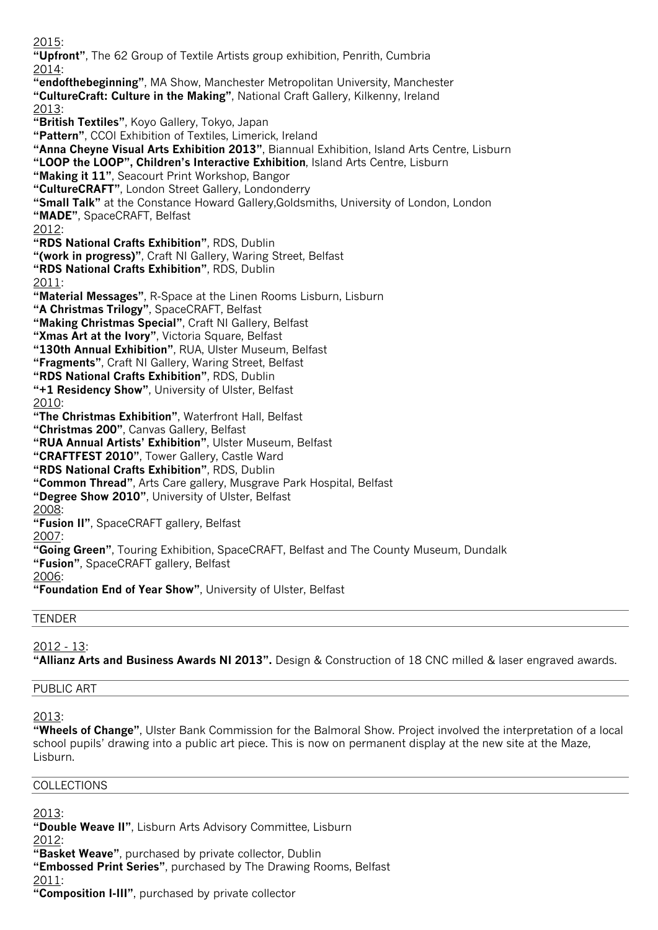2015: **"Upfront"**, The 62 Group of Textile Artists group exhibition, Penrith, Cumbria 2014: **"endofthebeginning"**, MA Show, Manchester Metropolitan University, Manchester **"CultureCraft: Culture in the Making"**, National Craft Gallery, Kilkenny, Ireland 2013: **"British Textiles"**, Koyo Gallery, Tokyo, Japan **"Pattern"**, CCOI Exhibition of Textiles, Limerick, Ireland **"Anna Cheyne Visual Arts Exhibition 2013"**, Biannual Exhibition, Island Arts Centre, Lisburn **"LOOP the LOOP", Children's Interactive Exhibition**, Island Arts Centre, Lisburn **"Making it 11"**, Seacourt Print Workshop, Bangor **"CultureCRAFT"**, London Street Gallery, Londonderry **"Small Talk"** at the Constance Howard Gallery,Goldsmiths, University of London, London **"MADE"**, SpaceCRAFT, Belfast 2012: **"RDS National Crafts Exhibition"**, RDS, Dublin **"(work in progress)"**, Craft NI Gallery, Waring Street, Belfast **"RDS National Crafts Exhibition"**, RDS, Dublin 2011: **"Material Messages"**, R-Space at the Linen Rooms Lisburn, Lisburn **"A Christmas Trilogy"**, SpaceCRAFT, Belfast **"Making Christmas Special"**, Craft NI Gallery, Belfast **"Xmas Art at the Ivory"**, Victoria Square, Belfast **"130th Annual Exhibition"**, RUA, Ulster Museum, Belfast **"Fragments"**, Craft NI Gallery, Waring Street, Belfast **"RDS National Crafts Exhibition"**, RDS, Dublin **"+1 Residency Show"**, University of Ulster, Belfast 2010: **"The Christmas Exhibition"**, Waterfront Hall, Belfast **"Christmas 200"**, Canvas Gallery, Belfast **"RUA Annual Artists' Exhibition"**, Ulster Museum, Belfast **"CRAFTFEST 2010"**, Tower Gallery, Castle Ward **"RDS National Crafts Exhibition"**, RDS, Dublin **"Common Thread"**, Arts Care gallery, Musgrave Park Hospital, Belfast **"Degree Show 2010"**, University of Ulster, Belfast 2008: **"Fusion II"**, SpaceCRAFT gallery, Belfast 2007: **"Going Green"**, Touring Exhibition, SpaceCRAFT, Belfast and The County Museum, Dundalk **"Fusion"**, SpaceCRAFT gallery, Belfast <u> 2006:</u> **"Foundation End of Year Show"**, University of Ulster, Belfast TENDER

2012 - 13: **"Allianz Arts and Business Awards NI 2013".** Design & Construction of 18 CNC milled & laser engraved awards.

# PUBLIC ART

2013:

**"Wheels of Change"**, Ulster Bank Commission for the Balmoral Show. Project involved the interpretation of a local school pupils' drawing into a public art piece. This is now on permanent display at the new site at the Maze, Lisburn.

# COLLECTIONS

2013:

**"Double Weave II"**, Lisburn Arts Advisory Committee, Lisburn

2012:

**"Basket Weave"**, purchased by private collector, Dublin

**"Embossed Print Series"**, purchased by The Drawing Rooms, Belfast

2011:

**"Composition I-III"**, purchased by private collector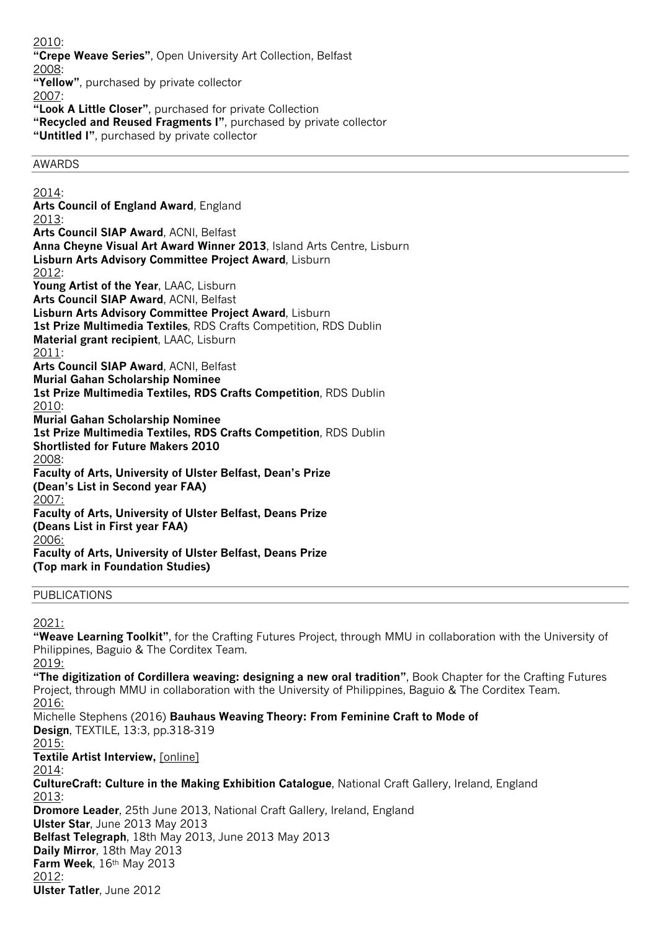2010: **"Crepe Weave Series"**, Open University Art Collection, Belfast 2008: **"Yellow"**, purchased by private collector 2007: **"Look A Little Closer"**, purchased for private Collection **"Recycled and Reused Fragments I"**, purchased by private collector **"Untitled I"**, purchased by private collector

# AWARDS

2014: **Arts Council of England Award**, England 2013: **Arts Council SIAP Award**, ACNI, Belfast **Anna Cheyne Visual Art Award Winner 2013**, Island Arts Centre, Lisburn **Lisburn Arts Advisory Committee Project Award**, Lisburn 2012: **Young Artist of the Year**, LAAC, Lisburn **Arts Council SIAP Award**, ACNI, Belfast **Lisburn Arts Advisory Committee Project Award**, Lisburn **1st Prize Multimedia Textiles**, RDS Crafts Competition, RDS Dublin **Material grant recipient**, LAAC, Lisburn 2011: **Arts Council SIAP Award**, ACNI, Belfast **Murial Gahan Scholarship Nominee 1st Prize Multimedia Textiles, RDS Crafts Competition**, RDS Dublin 2010: **Murial Gahan Scholarship Nominee 1st Prize Multimedia Textiles, RDS Crafts Competition**, RDS Dublin **Shortlisted for Future Makers 2010** 2008: **Faculty of Arts, University of Ulster Belfast, Dean's Prize (Dean's List in Second year FAA)** 2007: **Faculty of Arts, University of Ulster Belfast, Deans Prize (Deans List in First year FAA)** 2006: **Faculty of Arts, University of Ulster Belfast, Deans Prize (Top mark in Foundation Studies)**

#### PUBLICATIONS

2021:

**"Weave Learning Toolkit"**, for the Crafting Futures Project, through MMU in collaboration with the University of Philippines, Baguio & The Corditex Team. 2019:

**"The digitization of Cordillera weaving: designing a new oral tradition"**, Book Chapter for the Crafting Futures Project, through MMU in collaboration with the University of Philippines, Baguio & The Corditex Team. 2016:

Michelle Stephens (2016) **Bauhaus Weaving Theory: From Feminine Craft to Mode of Design**, TEXTILE, 13:3, pp.318-319 2015: **Textile Artist Interview,** [online] 2014: **CultureCraft: Culture in the Making Exhibition Catalogue**, National Craft Gallery, Ireland, England 2013: **Dromore Leader**, 25th June 2013, National Craft Gallery, Ireland, England **Ulster Star**, June 2013 May 2013 **Belfast Telegraph**, 18th May 2013, June 2013 May 2013 **Daily Mirror**, 18th May 2013 **Farm Week**, 16th May 2013 2012: **Ulster Tatler**, June 2012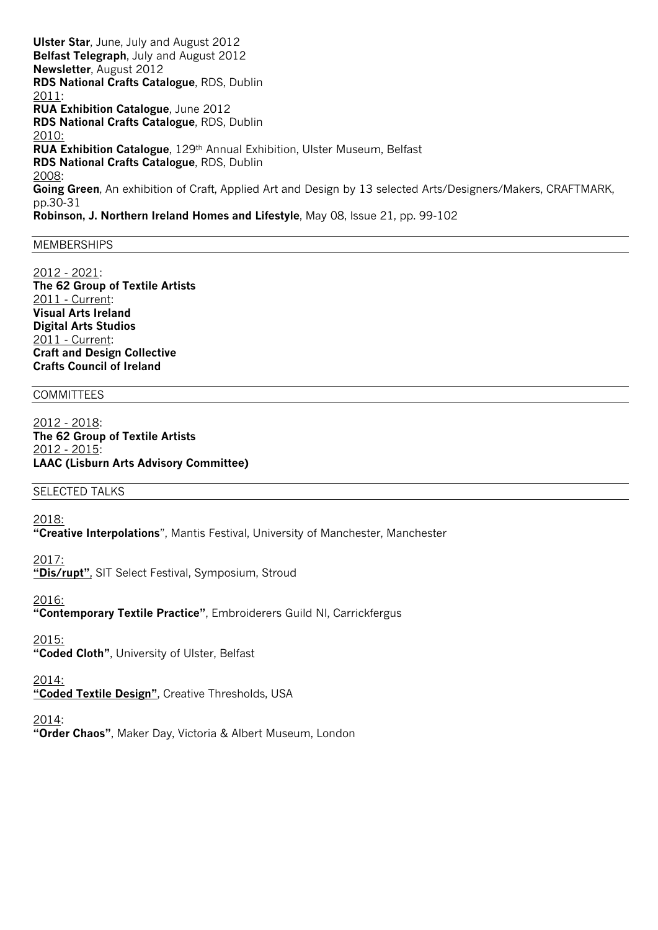**Ulster Star**, June, July and August 2012 **Belfast Telegraph**, July and August 2012 **Newsletter**, August 2012 **RDS National Crafts Catalogue**, RDS, Dublin 2011: **RUA Exhibition Catalogue**, June 2012 **RDS National Crafts Catalogue**, RDS, Dublin 2010: **RUA Exhibition Catalogue**, 129th Annual Exhibition, Ulster Museum, Belfast **RDS National Crafts Catalogue**, RDS, Dublin 2008: **Going Green**, An exhibition of Craft, Applied Art and Design by 13 selected Arts/Designers/Makers, CRAFTMARK, pp.30-31 **Robinson, J. Northern Ireland Homes and Lifestyle**, May 08, Issue 21, pp. 99-102

#### MEMBERSHIPS

2012 - 2021: **The 62 Group of Textile Artists** 2011 - Current: **Visual Arts Ireland Digital Arts Studios** 2011 - Current: **Craft and Design Collective Crafts Council of Ireland**

### **COMMITTEES**

2012 - 2018: **The 62 Group of Textile Artists** 2012 - 2015: **LAAC (Lisburn Arts Advisory Committee)**

#### SELECTED TALKS

2018:

**"Creative Interpolations**", Mantis Festival, University of Manchester, Manchester

2017:

**"Dis/rupt"**, SIT Select Festival, Symposium, Stroud

2016:

**"Contemporary Textile Practice"**, Embroiderers Guild NI, Carrickfergus

2015:

**"Coded Cloth"**, University of Ulster, Belfast

2014:

**"Coded Textile Design"**, Creative Thresholds, USA

2014:

**"Order Chaos"**, Maker Day, Victoria & Albert Museum, London